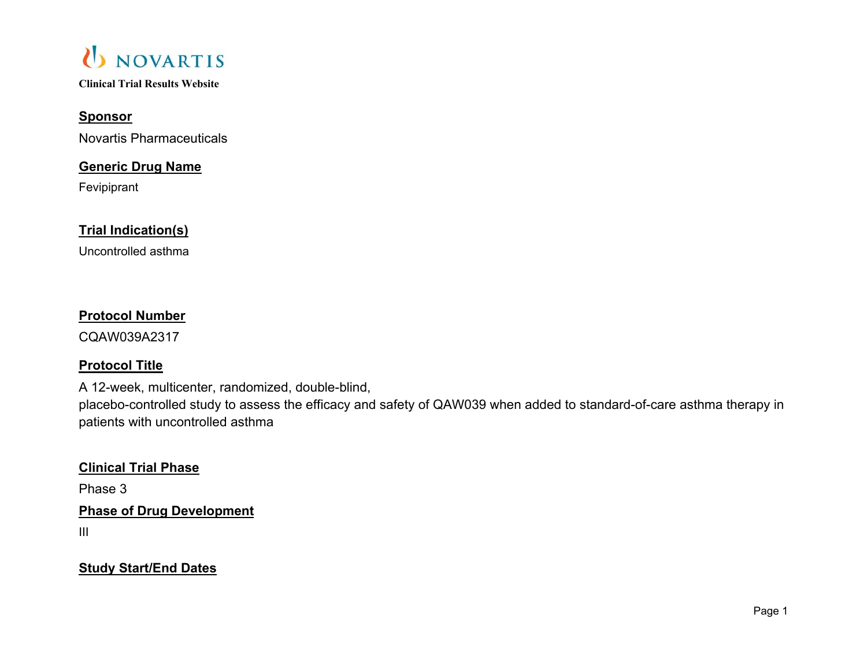

## **Sponsor**

Novartis Pharmaceuticals

## **Generic Drug Name**

Fevipiprant

## **Trial Indication(s)**

Uncontrolled asthma

## **Protocol Number**

CQAW039A2317

## **Protocol Title**

A 12-week, multicenter, randomized, double-blind,

placebo-controlled study to assess the efficacy and safety of QAW039 when added to standard-of-care asthma therapy in patients with uncontrolled asthma

### **Clinical Trial Phase**

Phase 3

**Phase of Drug Development** 

III

**Study Start/End Dates**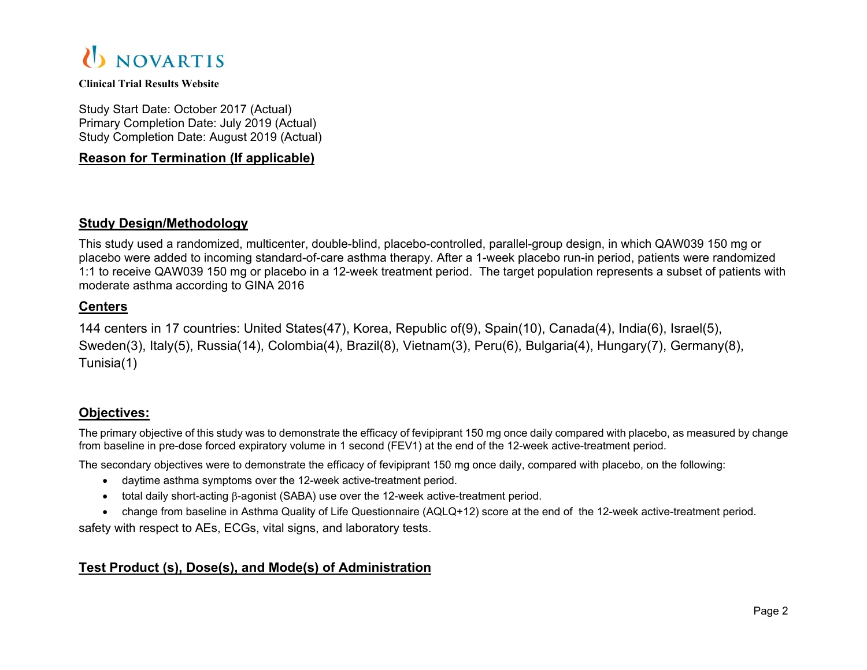

Study Start Date: October 2017 (Actual) Primary Completion Date: July 2019 (Actual) Study Completion Date: August 2019 (Actual)

### **Reason for Termination (If applicable)**

### **Study Design/Methodology**

This study used a randomized, multicenter, double-blind, placebo-controlled, parallel-group design, in which QAW039 150 mg or placebo were added to incoming standard-of-care asthma therapy. After a 1-week placebo run-in period, patients were randomized 1:1 to receive QAW039 150 mg or placebo in a 12-week treatment period. The target population represents a subset of patients with moderate asthma according to GINA 2016

### **Centers**

144 centers in 17 countries: United States(47), Korea, Republic of(9), Spain(10), Canada(4), India(6), Israel(5), Sweden(3), Italy(5), Russia(14), Colombia(4), Brazil(8), Vietnam(3), Peru(6), Bulgaria(4), Hungary(7), Germany(8), Tunisia(1)

### **Objectives:**

The primary objective of this study was to demonstrate the efficacy of fevipiprant 150 mg once daily compared with placebo, as measured by change from baseline in pre-dose forced expiratory volume in 1 second (FEV1) at the end of the 12-week active-treatment period.

The secondary objectives were to demonstrate the efficacy of fevipiprant 150 mg once daily, compared with placebo, on the following:

- daytime asthma symptoms over the 12-week active-treatment period.
- $\bullet$  total daily short-acting  $\beta$ -agonist (SABA) use over the 12-week active-treatment period.
- change from baseline in Asthma Quality of Life Questionnaire (AQLQ+12) score at the end of the 12-week active-treatment period.

safety with respect to AEs, ECGs, vital signs, and laboratory tests.

### **Test Product (s), Dose(s), and Mode(s) of Administration**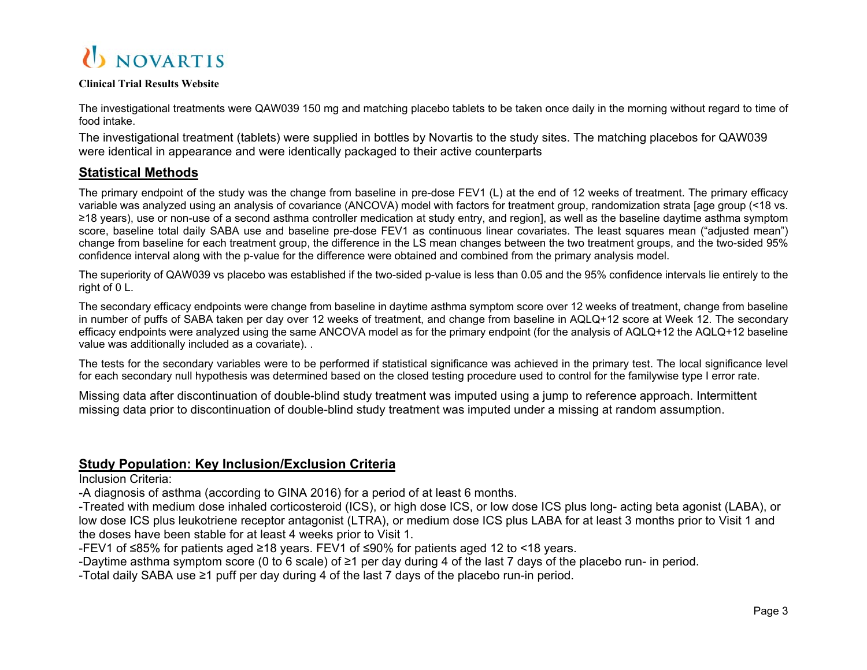

The investigational treatments were QAW039 150 mg and matching placebo tablets to be taken once daily in the morning without regard to time of food intake.

The investigational treatment (tablets) were supplied in bottles by Novartis to the study sites. The matching placebos for QAW039 were identical in appearance and were identically packaged to their active counterparts

### **Statistical Methods**

The primary endpoint of the study was the change from baseline in pre-dose FEV1 (L) at the end of 12 weeks of treatment. The primary efficacy variable was analyzed using an analysis of covariance (ANCOVA) model with factors for treatment group, randomization strata [age group (<18 vs. ≥18 years), use or non-use of a second asthma controller medication at study entry, and region], as well as the baseline daytime asthma symptom score, baseline total daily SABA use and baseline pre-dose FEV1 as continuous linear covariates. The least squares mean ("adjusted mean") change from baseline for each treatment group, the difference in the LS mean changes between the two treatment groups, and the two-sided 95% confidence interval along with the p-value for the difference were obtained and combined from the primary analysis model.

The superiority of QAW039 vs placebo was established if the two-sided p-value is less than 0.05 and the 95% confidence intervals lie entirely to the right of 0 L.

The secondary efficacy endpoints were change from baseline in daytime asthma symptom score over 12 weeks of treatment, change from baseline in number of puffs of SABA taken per day over 12 weeks of treatment, and change from baseline in AQLQ+12 score at Week 12. The secondary efficacy endpoints were analyzed using the same ANCOVA model as for the primary endpoint (for the analysis of AQLQ+12 the AQLQ+12 baseline value was additionally included as a covariate). .

The tests for the secondary variables were to be performed if statistical significance was achieved in the primary test. The local significance level for each secondary null hypothesis was determined based on the closed testing procedure used to control for the familywise type I error rate.

Missing data after discontinuation of double-blind study treatment was imputed using a jump to reference approach. Intermittent missing data prior to discontinuation of double-blind study treatment was imputed under a missing at random assumption.

### **Study Population: Key Inclusion/Exclusion Criteria**

Inclusion Criteria:

-A diagnosis of asthma (according to GINA 2016) for a period of at least 6 months.

-Treated with medium dose inhaled corticosteroid (ICS), or high dose ICS, or low dose ICS plus long- acting beta agonist (LABA), or low dose ICS plus leukotriene receptor antagonist (LTRA), or medium dose ICS plus LABA for at least 3 months prior to Visit 1 and the doses have been stable for at least 4 weeks prior to Visit 1.

-FEV1 of ≤85% for patients aged ≥18 years. FEV1 of ≤90% for patients aged 12 to <18 years.

-Daytime asthma symptom score (0 to 6 scale) of ≥1 per day during 4 of the last 7 days of the placebo run- in period.

-Total daily SABA use ≥1 puff per day during 4 of the last 7 days of the placebo run-in period.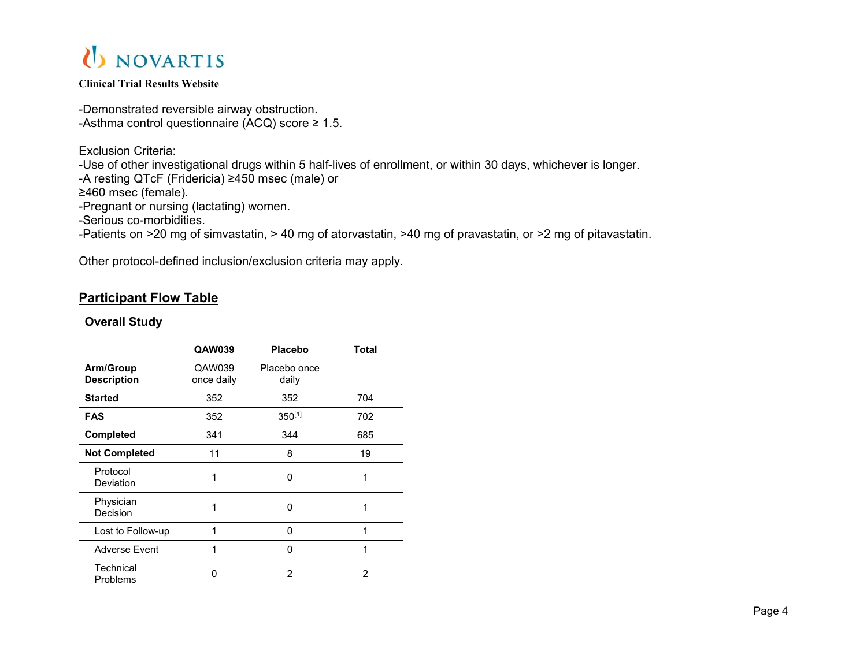

-Demonstrated reversible airway obstruction. -Asthma control questionnaire (ACQ) score  $\geq 1.5$ .

Exclusion Criteria: -Use of other investigational drugs within 5 half-lives of enrollment, or within 30 days, whichever is longer. -A resting QTcF (Fridericia) ≥450 msec (male) or ≥460 msec (female). -Pregnant or nursing (lactating) women. -Serious co-morbidities. -Patients on >20 mg of simvastatin, > 40 mg of atorvastatin, >40 mg of pravastatin, or >2 mg of pitavastatin.

Other protocol-defined inclusion/exclusion criteria may apply.

### **Participant Flow Table**

### **Overall Study**

|                                 | QAW039               | <b>Placebo</b>        | Total |
|---------------------------------|----------------------|-----------------------|-------|
| Arm/Group<br><b>Description</b> | QAW039<br>once daily | Placebo once<br>daily |       |
| <b>Started</b>                  | 352                  | 352                   | 704   |
| <b>FAS</b>                      | 352                  | 350[1]                | 702   |
| <b>Completed</b>                | 341                  | 344                   | 685   |
| <b>Not Completed</b>            | 11                   | 8                     | 19    |
| Protocol<br>Deviation           | 1                    | 0                     | 1     |
| Physician<br>Decision           |                      | 0                     | 1     |
| Lost to Follow-up               | 1                    | 0                     | 1     |
| <b>Adverse Event</b>            | 1                    | 0                     | 1     |
| Technical<br>Problems           | U                    | 2                     | 2     |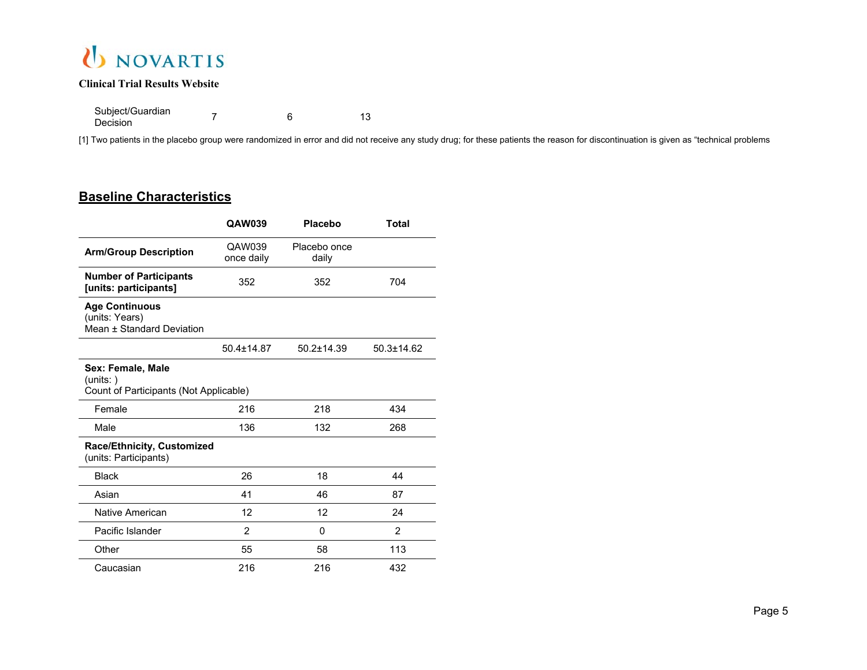

Subject/Guardian Decisionn 13<br>n 13

[1] Two patients in the placebo group were randomized in error and did not receive any study drug; for these patients the reason for discontinuation is given as "technical problems

#### **Baseline Characteristics**

|                                                                          | QAW039               | <b>Placebo</b>        | <b>Total</b>     |
|--------------------------------------------------------------------------|----------------------|-----------------------|------------------|
| <b>Arm/Group Description</b>                                             | QAW039<br>once daily | Placebo once<br>daily |                  |
| <b>Number of Participants</b><br>[units: participants]                   | 352                  | 352                   | 704              |
| <b>Age Continuous</b><br>(units: Years)<br>Mean ± Standard Deviation     |                      |                       |                  |
|                                                                          | $50.4 \pm 14.87$     | $50.2 \pm 14.39$      | $50.3 \pm 14.62$ |
| Sex: Female, Male<br>(units: )<br>Count of Participants (Not Applicable) |                      |                       |                  |
| Female                                                                   | 216                  | 218                   | 434              |
| Male                                                                     | 136                  | 132                   | 268              |
| Race/Ethnicity, Customized<br>(units: Participants)                      |                      |                       |                  |
| <b>Black</b>                                                             | 26                   | 18                    | 44               |
| Asian                                                                    | 41                   | 46                    | 87               |
| Native American                                                          | 12                   | 12                    | 24               |
| Pacific Islander                                                         | $\overline{2}$       | $\mathbf{0}$          | $\overline{2}$   |
| Other                                                                    | 55                   | 58                    | 113              |
| Caucasian                                                                | 216                  | 216                   | 432              |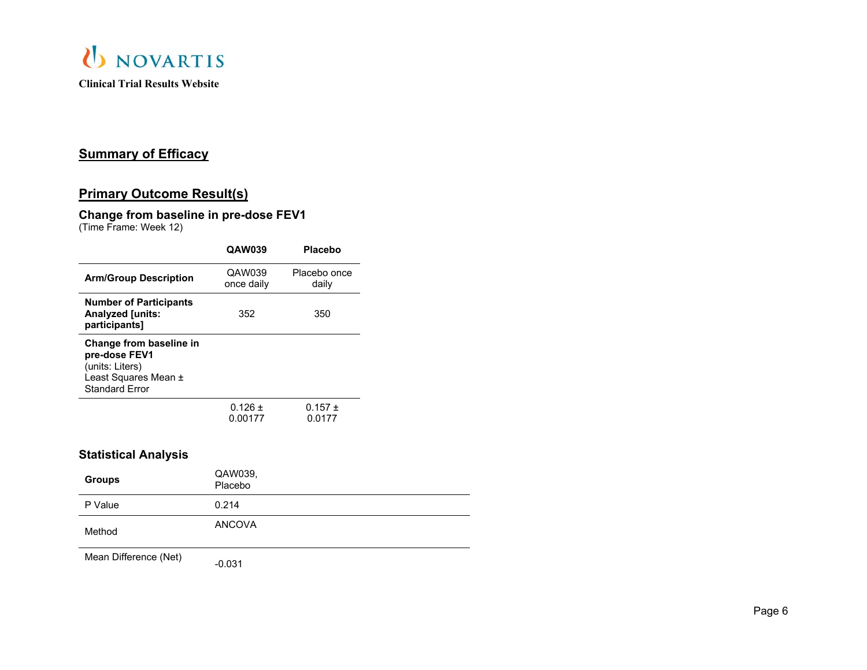

## **Summary of Efficacy**

## **Primary Outcome Result(s)**

## **Change from baseline in pre-dose FEV1**

(Time Frame: Week 12)

|                                                                                                              | <b>QAW039</b>          | <b>Placebo</b>        |
|--------------------------------------------------------------------------------------------------------------|------------------------|-----------------------|
| <b>Arm/Group Description</b>                                                                                 | QAW039<br>once daily   | Placebo once<br>daily |
| <b>Number of Participants</b><br><b>Analyzed [units:</b><br>participants]                                    | 352                    | 350                   |
| Change from baseline in<br>pre-dose FEV1<br>(units: Liters)<br>Least Squares Mean ±<br><b>Standard Error</b> |                        |                       |
|                                                                                                              | $0.126 \pm$<br>0.00177 | $0.157 \pm$<br>0.0177 |
| Statistical Analysis                                                                                         |                        |                       |
| Groups                                                                                                       | QAW039.<br>Placebo     |                       |

| P Value | 0.214  |
|---------|--------|
| Method  | ANCOVA |

Mean Difference (Net) -0.031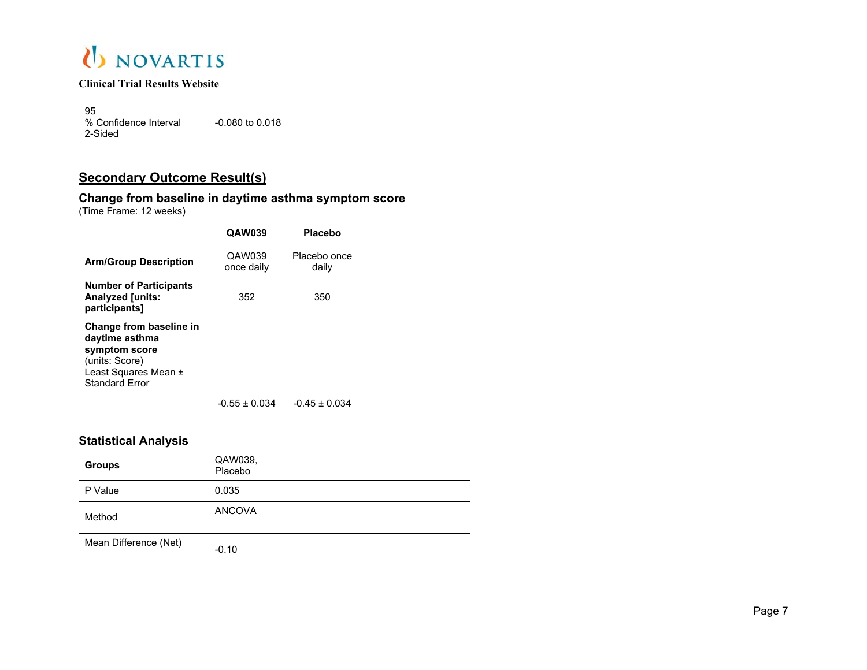

95 % Confidence Interval 2-Sided-0.080 to 0.018

## **Secondary Outcome Result(s)**

#### **Change from baseline in daytime asthma symptom score** (Time Frame: 12 weeks)

|                                                                                                                               | QAW039               | <b>Placebo</b>        |
|-------------------------------------------------------------------------------------------------------------------------------|----------------------|-----------------------|
| <b>Arm/Group Description</b>                                                                                                  | QAW039<br>once daily | Placebo once<br>daily |
| <b>Number of Participants</b><br><b>Analyzed [units:</b><br>participants]                                                     | 352                  | 350                   |
| Change from baseline in<br>daytime asthma<br>symptom score<br>(units: Score)<br>Least Squares Mean ±<br><b>Standard Frror</b> |                      |                       |
|                                                                                                                               | $-0.55 \pm 0.034$    | $-0.45 \pm 0.034$     |

### **Statistical Analysis**

| <b>Groups</b> | QAW039,<br>Placebo |
|---------------|--------------------|
| P Value       | 0.035              |
| Method        | <b>ANCOVA</b>      |

Mean Difference (Net) -0.10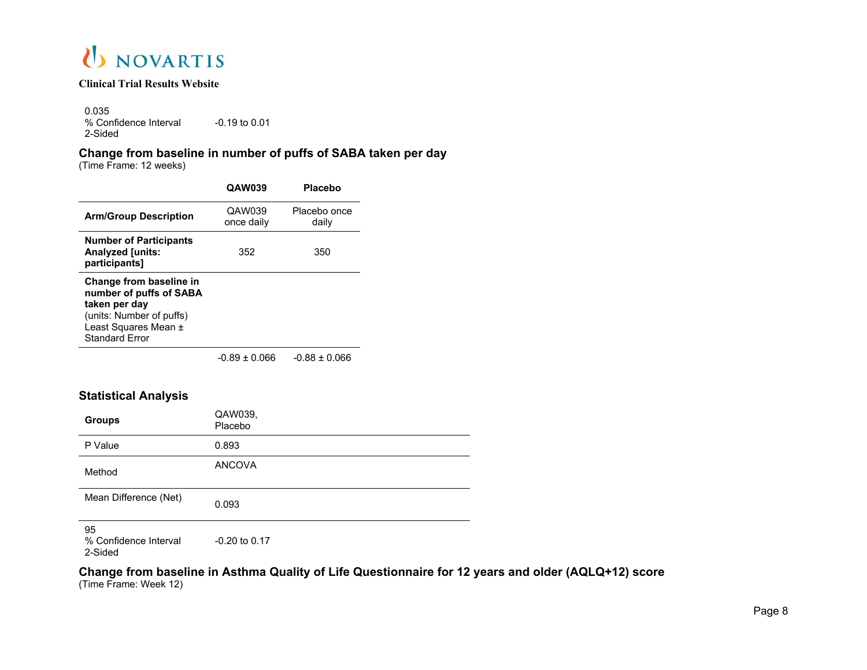

0.035 % Confidence Interval 2-Sided-0.19 to 0.01

## **Change from baseline in number of puffs of SABA taken per day**

(Time Frame: 12 weeks)

|                                                                                                                                                  | <b>QAW039</b>        | <b>Placebo</b>        |
|--------------------------------------------------------------------------------------------------------------------------------------------------|----------------------|-----------------------|
| <b>Arm/Group Description</b>                                                                                                                     | QAW039<br>once daily | Placebo once<br>daily |
| <b>Number of Participants</b><br><b>Analyzed [units:</b><br>participants]                                                                        | 352                  | 350                   |
| Change from baseline in<br>number of puffs of SABA<br>taken per day<br>(units: Number of puffs)<br>Least Squares Mean ±<br><b>Standard Frror</b> |                      |                       |
|                                                                                                                                                  | 0.00.0000            | 0.00 · 0.000          |

-0.89 ± 0.066 -0.88 ± 0.066

### **Statistical Analysis**

| <b>Groups</b>                          | QAW039.<br>Placebo |
|----------------------------------------|--------------------|
| P Value                                | 0.893              |
| Method                                 | <b>ANCOVA</b>      |
| Mean Difference (Net)                  | 0.093              |
| 95<br>% Confidence Interval<br>2-Sided | $-0.20$ to $0.17$  |

**Change from baseline in Asthma Quality of Life Questionnaire for 12 years and older (AQLQ+12) score**

(Time Frame: Week 12)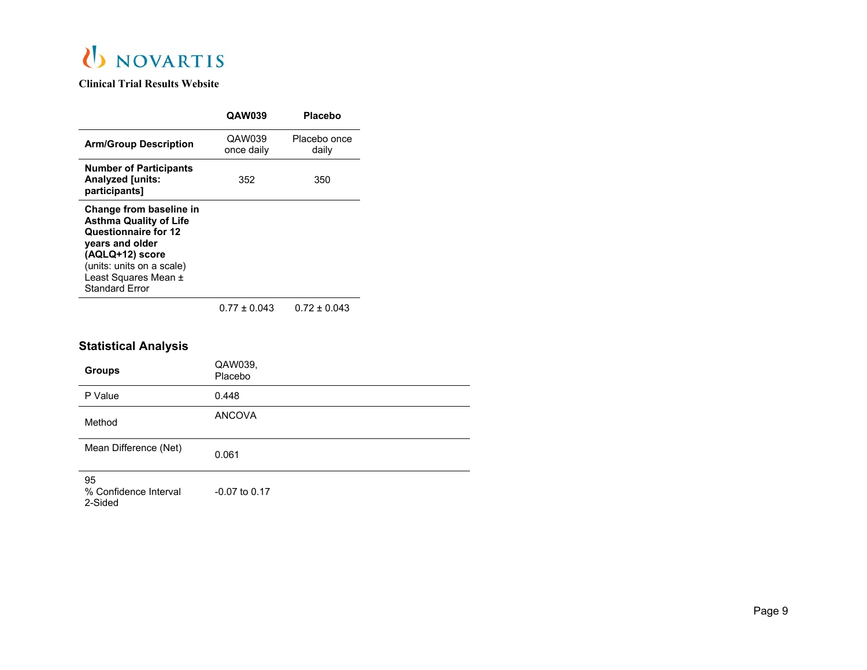

|                                                                                                                                                                                                      | <b>QAW039</b>        | Placebo               |
|------------------------------------------------------------------------------------------------------------------------------------------------------------------------------------------------------|----------------------|-----------------------|
| <b>Arm/Group Description</b>                                                                                                                                                                         | QAW039<br>once daily | Placebo once<br>daily |
| <b>Number of Participants</b><br><b>Analyzed [units:</b><br>participants]                                                                                                                            | 352                  | 350                   |
| Change from baseline in<br><b>Asthma Quality of Life</b><br>Questionnaire for 12<br>years and older<br>(AQLQ+12) score<br>(units: units on a scale)<br>Least Squares Mean ±<br><b>Standard Error</b> |                      |                       |
|                                                                                                                                                                                                      | $0.77 \pm 0.043$     | $0.72 \pm 0.043$      |

## **Statistical Analysis**

| <b>Groups</b>                          | QAW039,<br>Placebo |
|----------------------------------------|--------------------|
| P Value                                | 0.448              |
| Method                                 | <b>ANCOVA</b>      |
| Mean Difference (Net)                  | 0.061              |
| 95<br>% Confidence Interval<br>2-Sided | $-0.07$ to 0.17    |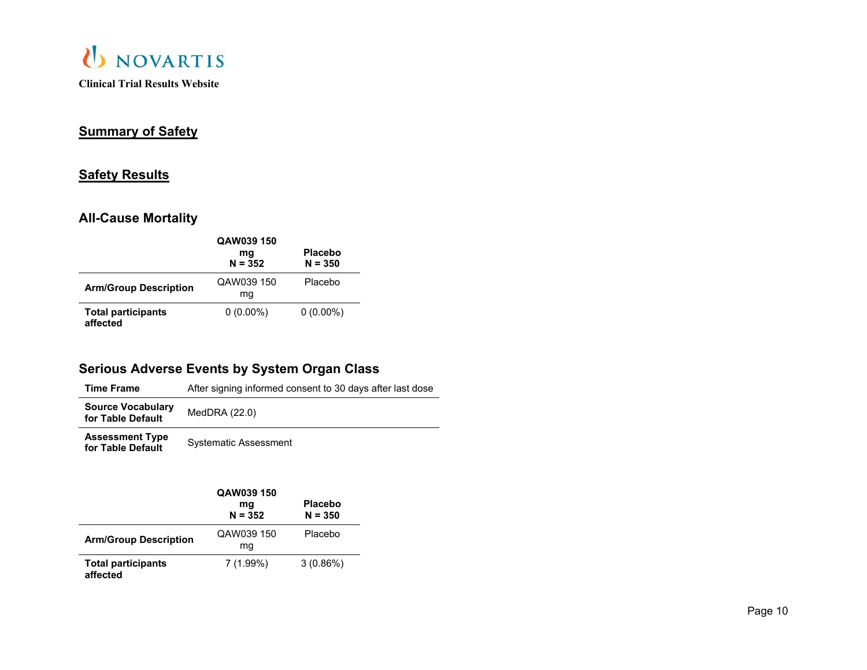

# **Summary of Safety**

## **Safety Results**

## **All-Cause Mortality**

|                                       | QAW039 150<br>mq<br>$N = 352$ | <b>Placebo</b><br>$N = 350$ |
|---------------------------------------|-------------------------------|-----------------------------|
| <b>Arm/Group Description</b>          | QAW039 150<br>mq              | Placebo                     |
| <b>Total participants</b><br>affected | $0(0.00\%)$                   | $0(0.00\%)$                 |

# **Serious Adverse Events by System Organ Class**

| Time Frame                                    | After signing informed consent to 30 days after last dose |
|-----------------------------------------------|-----------------------------------------------------------|
| <b>Source Vocabulary</b><br>for Table Default | MedDRA (22.0)                                             |
| <b>Assessment Type</b><br>for Table Default   | <b>Systematic Assessment</b>                              |

|                                       | QAW039 150<br>mg<br>$N = 352$ | <b>Placebo</b><br>$N = 350$ |
|---------------------------------------|-------------------------------|-----------------------------|
| <b>Arm/Group Description</b>          | QAW039 150<br>ma              | Placebo                     |
| <b>Total participants</b><br>affected | $7(1.99\%)$                   | $3(0.86\%)$                 |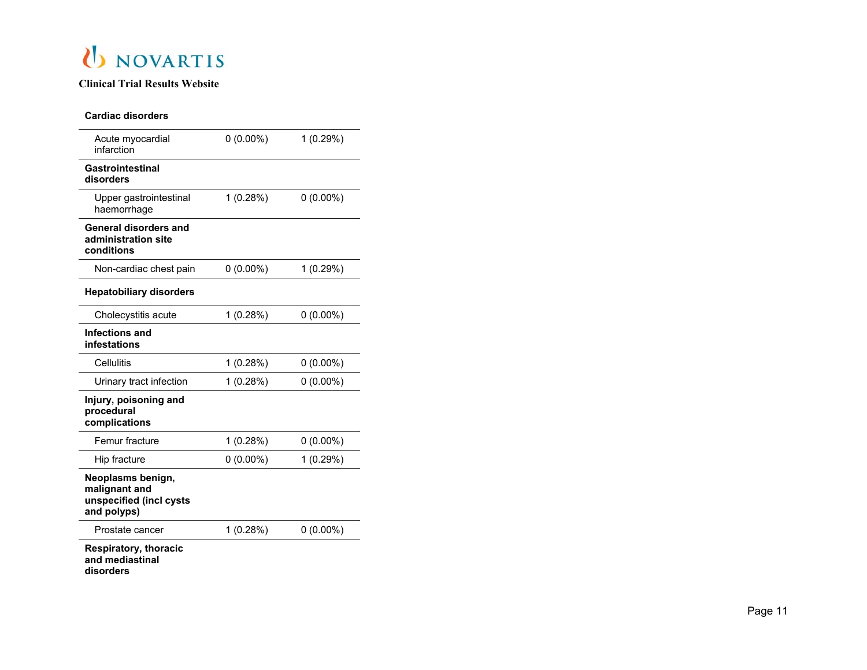

#### **Cardiac disorders**

| Acute myocardial<br>infarction                                               | $0(0.00\%)$ | 1 (0.29%)   |
|------------------------------------------------------------------------------|-------------|-------------|
| Gastrointestinal<br>disorders                                                |             |             |
| Upper gastrointestinal<br>haemorrhage                                        | 1(0.28%)    | $0(0.00\%)$ |
| General disorders and<br>administration site<br>conditions                   |             |             |
| Non-cardiac chest pain                                                       | $0(0.00\%)$ | 1(0.29%)    |
| <b>Hepatobiliary disorders</b>                                               |             |             |
| Cholecystitis acute                                                          | 1(0.28%)    | $0(0.00\%)$ |
| Infections and<br>infestations                                               |             |             |
| Cellulitis                                                                   | 1(0.28%)    | $0(0.00\%)$ |
| Urinary tract infection                                                      | 1(0.28%)    | $0(0.00\%)$ |
| Injury, poisoning and<br>procedural<br>complications                         |             |             |
| Femur fracture                                                               | 1(0.28%)    | $0(0.00\%)$ |
| Hip fracture                                                                 | $0(0.00\%)$ | 1 (0.29%)   |
| Neoplasms benign,<br>malignant and<br>unspecified (incl cysts<br>and polyps) |             |             |
| Prostate cancer                                                              | 1(0.28%)    | $0(0.00\%)$ |
| <b>Respiratory, thoracic</b>                                                 |             |             |

**Respiratory, thoracic and mediastinal disorders**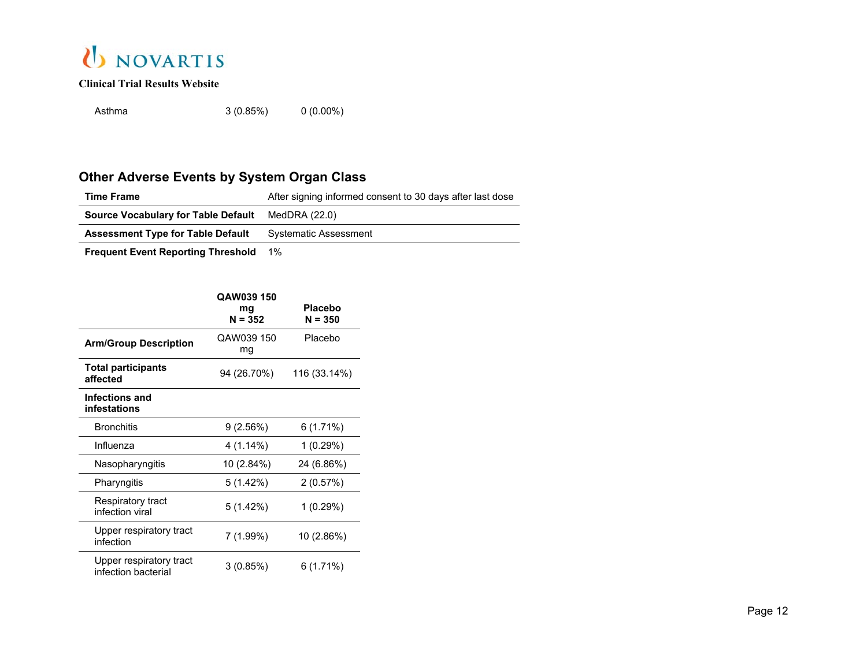

Asthma3 (0.85%) 0 (0.00%)

# **Other Adverse Events by System Organ Class**

| <b>Time Frame</b>                                        | After signing informed consent to 30 days after last dose |
|----------------------------------------------------------|-----------------------------------------------------------|
| <b>Source Vocabulary for Table Default</b> MedDRA (22.0) |                                                           |
| <b>Assessment Type for Table Default</b>                 | <b>Systematic Assessment</b>                              |

**Frequent Event Reporting Threshold** 1%

|                                                | QAW039 150<br>mg<br>$N = 352$ | Placebo<br>$N = 350$ |
|------------------------------------------------|-------------------------------|----------------------|
| <b>Arm/Group Description</b>                   | QAW039 150<br>mg              | Placebo              |
| <b>Total participants</b><br>affected          | 94 (26.70%)                   | 116 (33.14%)         |
| Infections and<br>infestations                 |                               |                      |
| <b>Bronchitis</b>                              | 9(2.56%)                      | $6(1.71\%)$          |
| Influenza                                      | $4(1.14\%)$                   | 1 (0.29%)            |
| Nasopharyngitis                                | 10 (2.84%)                    | 24 (6.86%)           |
| Pharyngitis                                    | 5 (1.42%)                     | 2(0.57%)             |
| Respiratory tract<br>infection viral           | 5(1.42%)                      | 1 (0.29%)            |
| Upper respiratory tract<br>infection           | 7 (1.99%)                     | 10 (2.86%)           |
| Upper respiratory tract<br>infection bacterial | 3(0.85%)                      | $6(1.71\%)$          |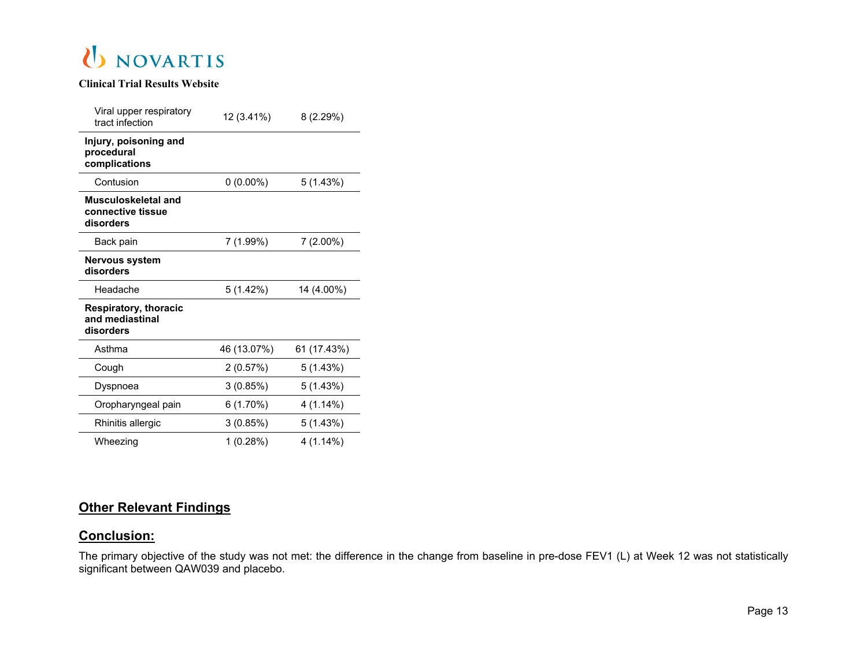

| Viral upper respiratory<br>tract infection                   | 12 (3.41%)  | 8(2.29%)    |
|--------------------------------------------------------------|-------------|-------------|
| Injury, poisoning and<br>procedural<br>complications         |             |             |
| Contusion                                                    | $0(0.00\%)$ | 5(1.43%)    |
| Musculoskeletal and<br>connective tissue<br>disorders        |             |             |
| Back pain                                                    | 7 (1.99%)   | $7(2.00\%)$ |
| <b>Nervous system</b><br>disorders                           |             |             |
| Headache                                                     | 5(1.42%)    | 14 (4.00%)  |
| <b>Respiratory, thoracic</b><br>and mediastinal<br>disorders |             |             |
| Asthma                                                       | 46 (13.07%) | 61 (17.43%) |
| Cough                                                        | 2(0.57%)    | 5(1.43%)    |
| Dyspnoea                                                     | 3(0.85%)    | 5 (1.43%)   |
| Oropharyngeal pain                                           | 6(1.70%)    | 4 (1.14%)   |
| Rhinitis allergic                                            | 3(0.85%)    | 5(1.43%)    |
| Wheezing                                                     | 1 (0.28%)   | 4 (1.14%)   |

## **Other Relevant Findings**

#### **Conclusion:**

The primary objective of the study was not met: the difference in the change from baseline in pre-dose FEV1 (L) at Week 12 was not statistically significant between QAW039 and placebo.